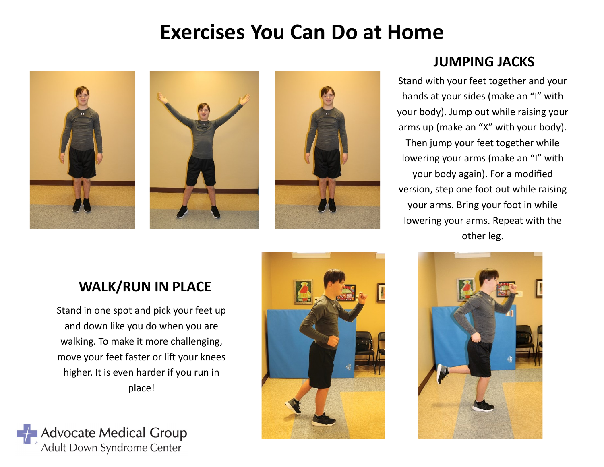# **Exercises You Can Do at Home**



#### **JUMPING JACKS**

Stand with your feet together and your hands at your sides (make an "I" with your body). Jump out while raising your arms up (make an "X" with your body). Then jump your feet together while lowering your arms (make an "I" with your body again). For a modified version, step one foot out while raising your arms. Bring your foot in while lowering your arms. Repeat with the other leg.

## **WALK/RUN IN PLACE**

Stand in one spot and pick your feet up and down like you do when you are walking. To make it more challenging, move your feet faster or lift your knees higher. It is even harder if you run in place!





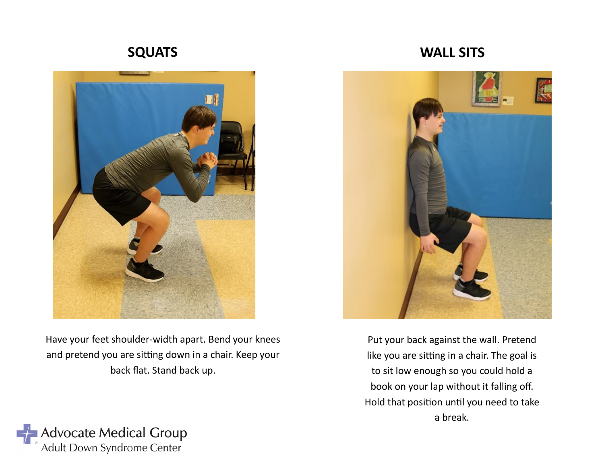### **SQUATS**



**WALL SITS**



Have your feet shoulder-width apart. Bend your knees and pretend you are sitting down in a chair. Keep your back flat. Stand back up.

Put your back against the wall. Pretend like you are sitting in a chair. The goal is to sit low enough so you could hold a book on your lap without it falling off. Hold that position until you need to take a break.

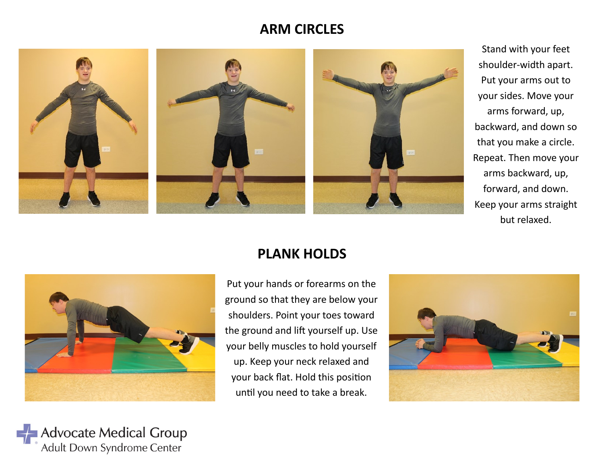#### **ARM CIRCLES**



Stand with your feet shoulder-width apart. Put your arms out to your sides. Move your arms forward, up, backward, and down so that you make a circle. Repeat. Then move your arms backward, up, forward, and down. Keep your arms straight but relaxed.



**Advocate Medical Group** Adult Down Syndrome Center

#### **PLANK HOLDS**

Put your hands or forearms on the ground so that they are below your shoulders. Point your toes toward the ground and lift yourself up. Use your belly muscles to hold yourself up. Keep your neck relaxed and your back flat. Hold this position until you need to take a break.

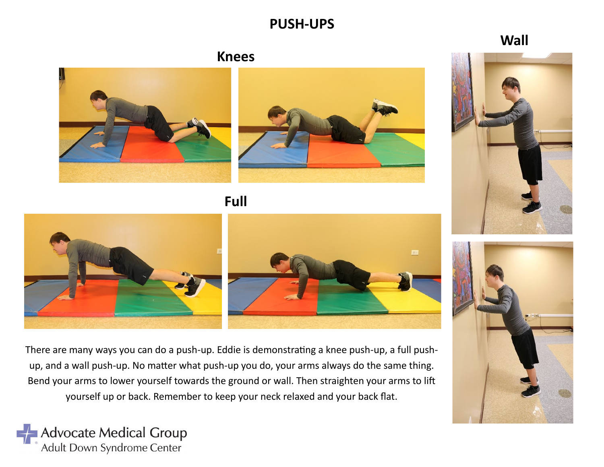#### **PUSH-UPS**

**Wall**





**Knees**



**Full**



There are many ways you can do a push-up. Eddie is demonstrating a knee push-up, a full pushup, and a wall push-up. No matter what push-up you do, your arms always do the same thing. Bend your arms to lower yourself towards the ground or wall. Then straighten your arms to lift yourself up or back. Remember to keep your neck relaxed and your back flat.